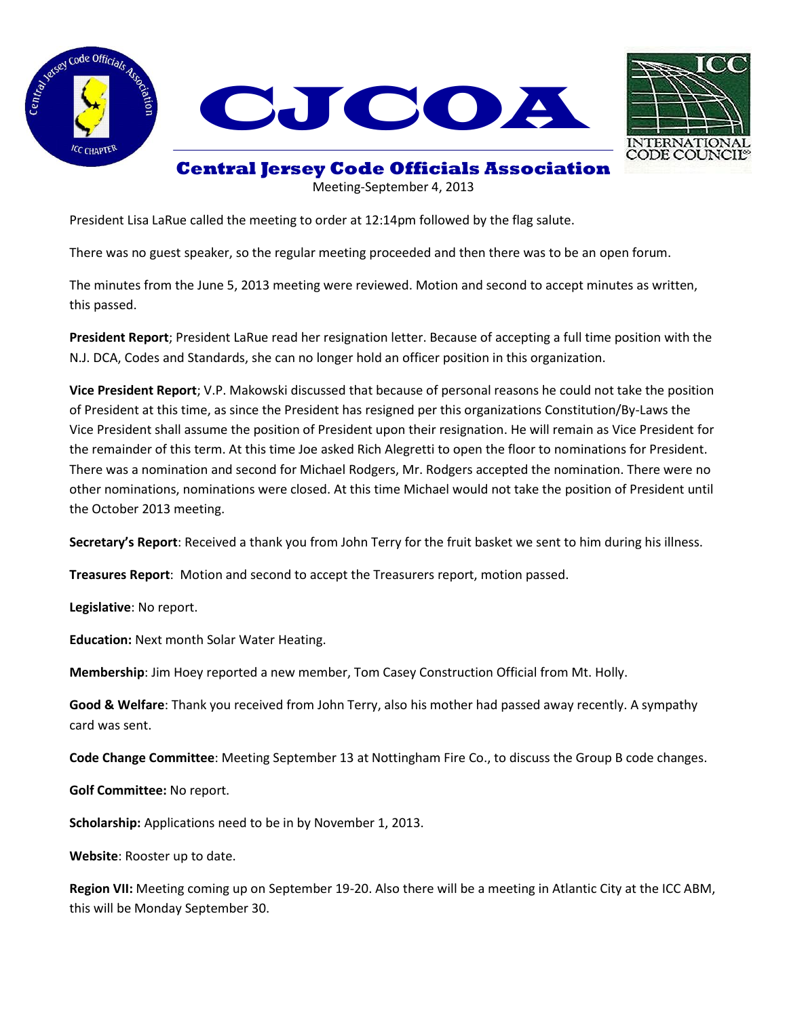





## **Central Jersey Code Officials Association**

Meeting-September 4, 2013

President Lisa LaRue called the meeting to order at 12:14pm followed by the flag salute.

There was no guest speaker, so the regular meeting proceeded and then there was to be an open forum.

The minutes from the June 5, 2013 meeting were reviewed. Motion and second to accept minutes as written, this passed.

**President Report**; President LaRue read her resignation letter. Because of accepting a full time position with the N.J. DCA, Codes and Standards, she can no longer hold an officer position in this organization.

**Vice President Report**; V.P. Makowski discussed that because of personal reasons he could not take the position of President at this time, as since the President has resigned per this organizations Constitution/By-Laws the Vice President shall assume the position of President upon their resignation. He will remain as Vice President for the remainder of this term. At this time Joe asked Rich Alegretti to open the floor to nominations for President. There was a nomination and second for Michael Rodgers, Mr. Rodgers accepted the nomination. There were no other nominations, nominations were closed. At this time Michael would not take the position of President until the October 2013 meeting.

**Secretary's Report**: Received a thank you from John Terry for the fruit basket we sent to him during his illness.

**Treasures Report**: Motion and second to accept the Treasurers report, motion passed.

**Legislative**: No report.

**Education:** Next month Solar Water Heating.

**Membership**: Jim Hoey reported a new member, Tom Casey Construction Official from Mt. Holly.

**Good & Welfare**: Thank you received from John Terry, also his mother had passed away recently. A sympathy card was sent.

**Code Change Committee**: Meeting September 13 at Nottingham Fire Co., to discuss the Group B code changes.

**Golf Committee:** No report.

**Scholarship:** Applications need to be in by November 1, 2013.

**Website**: Rooster up to date.

**Region VII:** Meeting coming up on September 19-20. Also there will be a meeting in Atlantic City at the ICC ABM, this will be Monday September 30.